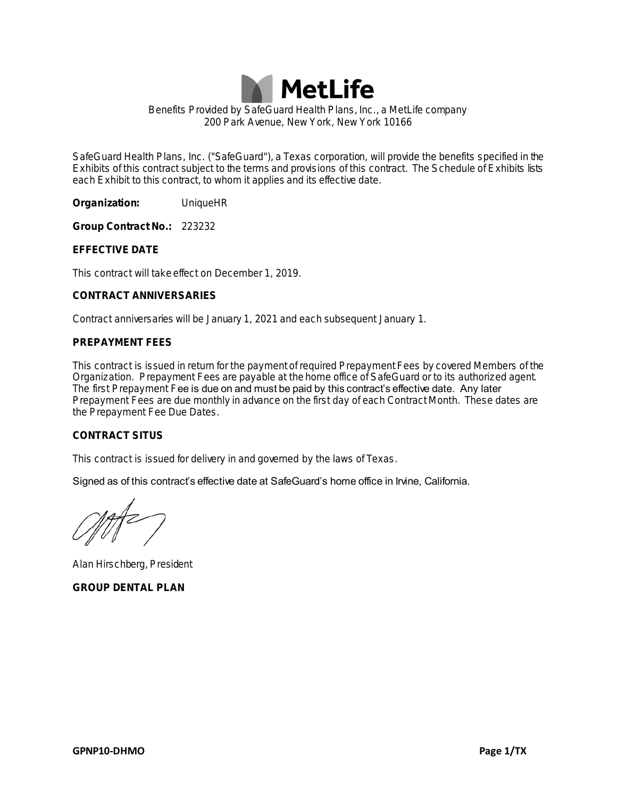

**Benefits Provided by SafeGuard Health Plans, Inc., a MetLife company 200 Park Avenue, New York, New York 10166**

**SafeGuard Health Plans, Inc. ("SafeGuard"), a Texas corporation, will provide the benefits specified in the Exhibits of this contract subject to the terms and provisions of this contract. The Schedule of Exhibits lists each Exhibit to this contract, to whom it applies and its effective date.**

**Organization: UniqueHR**

**Group Contract No.: 223232**

**EFFECTIVE DATE** 

**This contract will take effect on December 1, 2019.**

**CONTRACT ANNIVERSARIES** 

**Contract anniversaries will be January 1, 2021 and each subsequent January 1.**

### **PREPAYMENT FEES**

**This contract is issued in return for the payment of required Prepayment Fees by covered Members of the Organization. Prepayment Fees are payable at the home office of SafeGuard or to its authorized agent. The first Prepayment Fee is due on and must be paid by this contract's effective date. Any later Prepayment Fees are due monthly in advance on the first day of each Contract Month. These dates are the Prepayment Fee Due Dates.**

## **CONTRACT SITUS**

**This contract is issued for delivery in and governed by the laws of Texas.**

**Signed as of this contract's effective date at SafeGuard's home office in Irvine, California.**

**Alan Hirschberg, President GROUP DENTAL PLAN**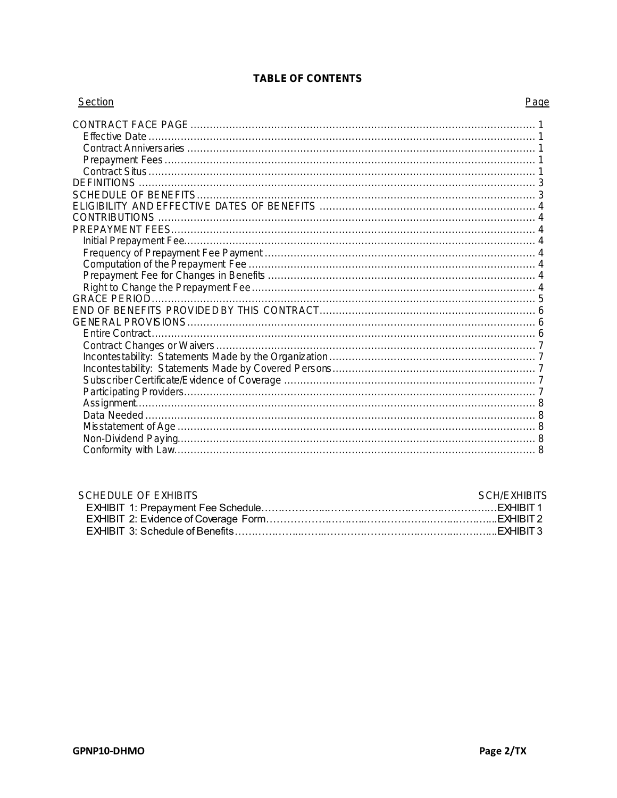| Section | Page |
|---------|------|
|         |      |
|         |      |
|         |      |
|         |      |
|         |      |
|         |      |
|         |      |
|         |      |
|         |      |
|         |      |
|         |      |
|         |      |
|         |      |
|         |      |
|         |      |
|         |      |
|         |      |
|         |      |
|         |      |
|         |      |
|         |      |
|         |      |
|         |      |
|         |      |
|         |      |
|         |      |
|         |      |

# TABLE OF CONTENTS

| SCHEDULE OF EXHIBITS | SCH/FXHIBITS |
|----------------------|--------------|
|                      |              |
|                      |              |
|                      |              |
|                      |              |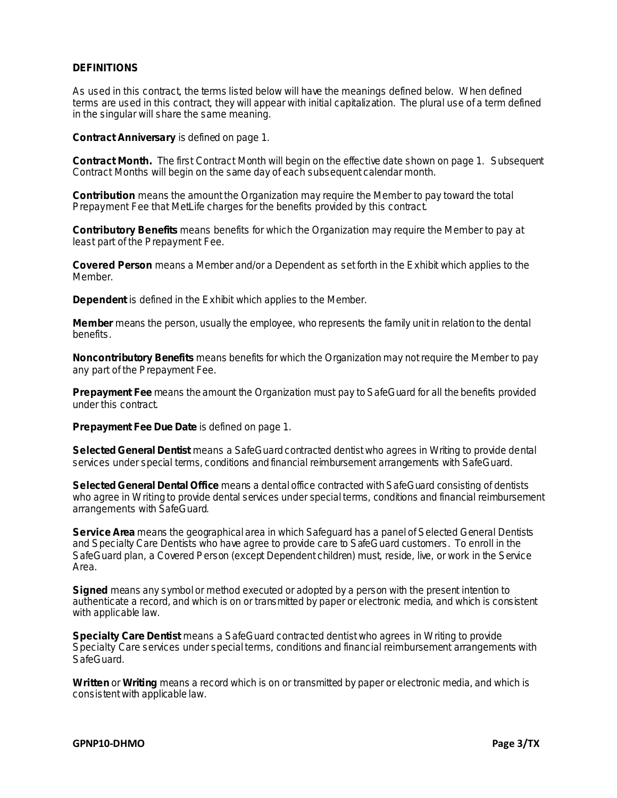## **DEFINITIONS**

**As used in this contract, the terms listed below will have the meanings defined below. When defined terms are used in this contract, they will appear with initial capitalization. The plural use of a term defined in the singular will share the same meaning.**

**Contract Anniversary is defined on page 1.**

**Contract Month. The first Contract Month will begin on the effective date shown on page 1. Subsequent Contract Months will begin on the same day of each subsequent calendar month.**

**Contribution means the amount the Organization may require the Member to pay toward the total Prepayment Fee that MetLife charges for the benefits provided by this contract.**

**Contributory Benefits means benefits for which the Organization may require the Member to pay at least part of the Prepayment Fee.**

**Covered Person means a Member and/or a Dependent as set forth in the Exhibit which applies to the Member.**

**Dependent is defined in the Exhibit which applies to the Member.**

**Member means the person, usually the employee, who represents the family unit in relation to the dental benefits.**

**Noncontributory Benefits means benefits for which the Organization may not require the Member to pay any part of the Prepayment Fee.**

**Prepayment Fee means the amount the Organization must pay to SafeGuard for all the benefits provided under this contract.**

**Prepayment Fee Due Date is defined on page 1.**

**Selected General Dentist means a SafeGuard contracted dentist who agrees in Writing to provide dental services under special terms, conditions and financial reimbursement arrangements with SafeGuard.**

**Selected General Dental Office means a dental office contracted with SafeGuard consisting of dentists who agree in Writing to provide dental services under special terms, conditions and financial reimbursement arrangements with SafeGuard.**

**Service Area means the geographical area in which Safeguard has a panel of Selected General Dentists and Specialty Care Dentists who have agree to provide care to SafeGuard customers. To enroll in the SafeGuard plan, a Covered Person (except Dependent children) must, reside, live, or work in the Service Area.**

**Signed means any symbol or method executed or adopted by a person with the present intention to authenticate a record, and which is on or transmitted by paper or electronic media, and which is consistent with applicable law.**

**Specialty Care Dentist means a SafeGuard contracted dentist who agrees in Writing to provide Specialty Care services under special terms, conditions and financial reimbursement arrangements with SafeGuard.**

**Written or Writing means a record which is on or transmitted by paper or electronic media, and which is consistent with applicable law.**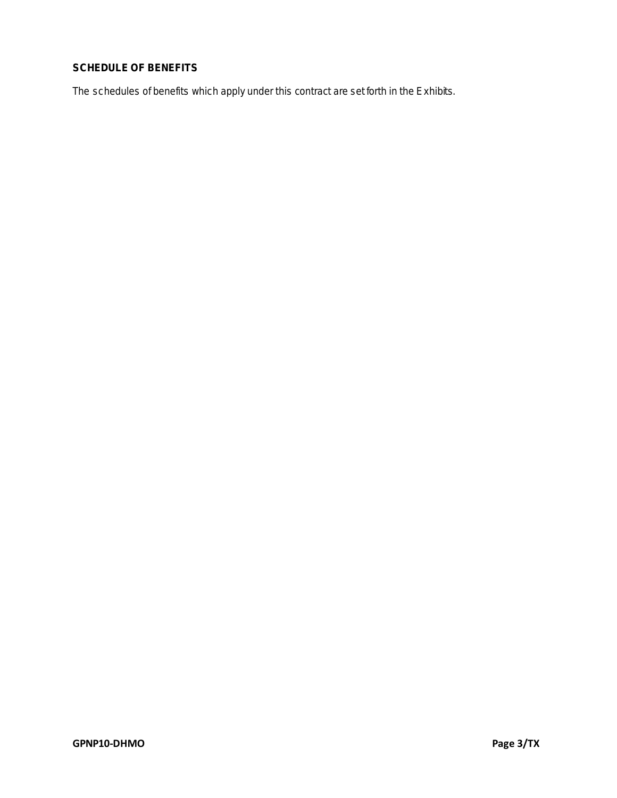# **SCHEDULE OF BENEFITS**

**The schedules of benefits which apply under this contract are set forth in the Exhibits.**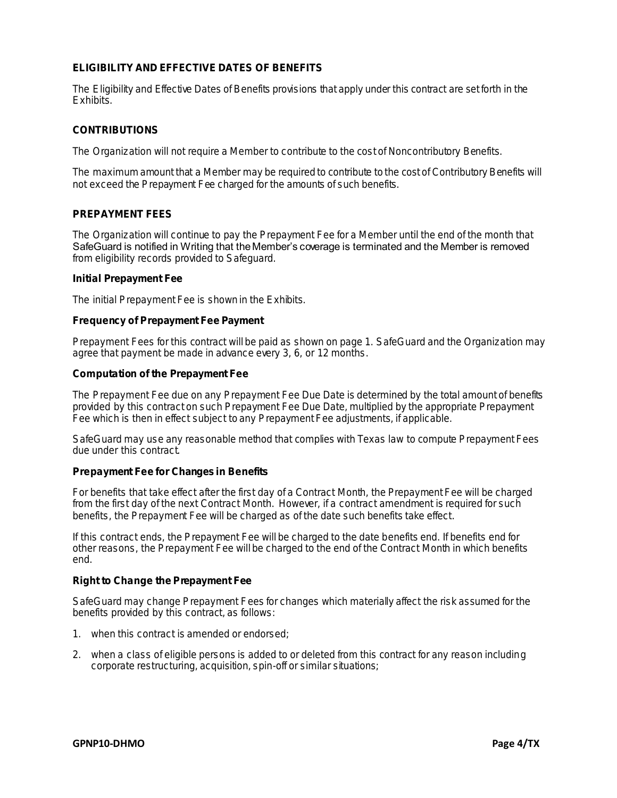## **ELIGIBILITY AND EFFECTIVE DATES OF BENEFITS**

**The Eligibility and Effective Dates of Benefits provisions that apply under this contract are set forth in the Exhibits.**

### **CONTRIBUTIONS**

**The Organization will not require a Member to contribute to the cost of Noncontributory Benefits.**

**The maximum amount that a Member may be required to contribute to the cost of Contributory Benefits will not exceed the Prepayment Fee charged for the amounts of such benefits.**

## **PREPAYMENT FEES**

**The Organization will continue to pay the Prepayment Fee for a Member until the end of the month that SafeGuard is notified in Writing that the Member's coverage is terminated and the Member is removed from eligibility records provided to Safeguard.**

### **Initial Prepayment Fee**

**The initial Prepayment Fee is shown in the Exhibits.**

### **Frequency of Prepayment Fee Payment**

**Prepayment Fees for this contract will be paid as shown on page 1. SafeGuard and the Organization may agree that payment be made in advance every 3, 6, or 12 months.**

#### **Computation of the Prepayment Fee**

**The Prepayment Fee due on any Prepayment Fee Due Date is determined by the total amount of benefits provided by this contract on such Prepayment Fee Due Date, multiplied by the appropriate Prepayment Fee which is then in effect subject to any Prepayment Fee adjustments, if applicable.**

**SafeGuard may use any reasonable method that complies with Texas law to compute Prepayment Fees due under this contract.**

### **Prepayment Fee for Changes in Benefits**

**For benefits that take effect after the first day of a Contract Month, the Prepayment Fee will be charged from the first day of the next Contract Month. However, if a contract amendment is required for such benefits, the Prepayment Fee will be charged as of the date such benefits take effect.**

**If this contract ends, the Prepayment Fee will be charged to the date benefits end. If benefits end for other reasons, the Prepayment Fee will be charged to the end of the Contract Month in which benefits end.**

# **Right to Change the Prepayment Fee**

**SafeGuard may change Prepayment Fees for changes which materially affect the risk assumed for the benefits provided by this contract, as follows:**

- **1. when this contract is amended or endorsed;**
- **2. when a class of eligible persons is added to or deleted from this contract for any reason including corporate restructuring, acquisition, spin-off or similar situations;**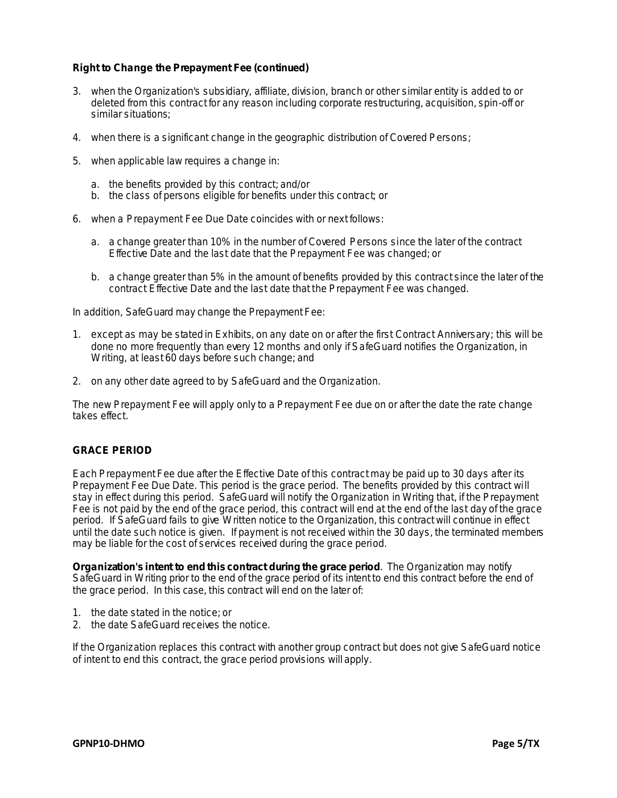**Right to Change the Prepayment Fee (continued)**

- **3. when the Organization's subsidiary, affiliate, division, branch or other similar entity is added to or deleted from this contract for any reason including corporate restructuring, acquisition, spin-off or similar situations;**
- **4. when there is a significant change in the geographic distribution of Covered Persons;**
- **5. when applicable law requires a change in:**
	- **a. the benefits provided by this contract; and/or**
	- **b. the class of persons eligible for benefits under this contract; or**
- **6. when a Prepayment Fee Due Date coincides with or next follows:**
	- **a. a change greater than 10% in the number of Covered Persons since the later of the contract Effective Date and the last date that the Prepayment Fee was changed; or**
	- **b. a change greater than 5% in the amount of benefits provided by this contract since the later of the contract Effective Date and the last date that the Prepayment Fee was changed.**

**In addition, SafeGuard may change the Prepayment Fee:**

- **1. except as may be stated in Exhibits, on any date on or after the first Contract Anniversary; this will be done no more frequently than every 12 months and only if SafeGuard notifies the Organization, in Writing, at least 60 days before such change; and**
- **2. on any other date agreed to by SafeGuard and the Organization.**

**The new Prepayment Fee will apply only to a Prepayment Fee due on or after the date the rate change takes effect.**

### **GRACE PERIOD**

**Each Prepayment Fee due after the Effective Date of this contract may be paid up to 30 days after its Prepayment Fee Due Date. This period is the grace period. The benefits provided by this contract will stay in effect during this period. SafeGuard will notify the Organization in Writing that, if the Prepayment Fee is not paid by the end of the grace period, this contract will end at the end of the last day of the grace period. If SafeGuard fails to give Written notice to the Organization, this contract will continue in effect until the date such notice is given. If payment is not received within the 30 days, the terminated members may be liable for the cost of services received during the grace period.**

**Organization's intent to end this contract during the grace period. The Organization may notify SafeGuard in Writing prior to the end of the grace period of its intent to end this contract before the end of the grace period. In this case, this contract will end on the later of:**

- **1. the date stated in the notice; or**
- **2. the date SafeGuard receives the notice.**

**If the Organization replaces this contract with another group contract but does not give SafeGuard notice of intent to end this contract, the grace period provisions will apply.**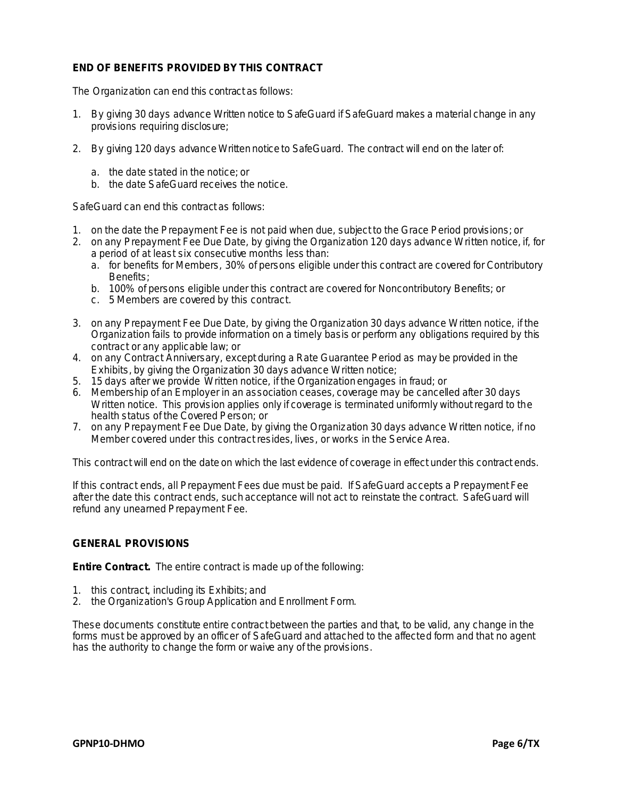## **END OF BENEFITS PROVIDED BY THIS CONTRACT**

**The Organization can end this contract as follows:**

- **1. By giving 30 days advance Written notice to SafeGuard if SafeGuard makes a material change in any provisions requiring disclosure;**
- **2. By giving 120 days advance Written notice to SafeGuard. The contract will end on the later of:**
	- **a. the date stated in the notice; or**
	- **b. the date SafeGuard receives the notice.**

**SafeGuard can end this contract as follows:**

- **1. on the date the Prepayment Fee is not paid when due, subject to the Grace Period provisions; or**
- **2. on any Prepayment Fee Due Date, by giving the Organization 120 days advance Written notice, if, for a period of at least six consecutive months less than:**
	- **a. for benefits for Members, 30% of persons eligible under this contract are covered for Contributory Benefits;**
	- **b. 100% of persons eligible under this contract are covered for Noncontributory Benefits; or**
	- **c. 5 Members are covered by this contract.**
- **3. on any Prepayment Fee Due Date, by giving the Organization 30 days advance Written notice, if the Organization fails to provide information on a timely basis or perform any obligations required by this contract or any applicable law; or**
- **4. on any Contract Anniversary, except during a Rate Guarantee Period as may be provided in the Exhibits, by giving the Organization 30 days advance Written notice;**
- **5. 15 days after we provide Written notice, if the Organization engages in fraud; or**
- **6. Membership of an Employer in an association ceases, coverage may be cancelled after 30 days Written notice. This provision applies only if coverage is terminated uniformly without regard to the health status of the Covered Person; or**
- **7. on any Prepayment Fee Due Date, by giving the Organization 30 days advance Written notice, if no Member covered under this contract resides, lives, or works in the Service Area.**

**This contract will end on the date on which the last evidence of coverage in effect under this contract ends.**

**If this contract ends, all Prepayment Fees due must be paid. If SafeGuard accepts a Prepayment Fee after the date this contract ends, such acceptance will not act to reinstate the contract. SafeGuard will refund any unearned Prepayment Fee.**

## **GENERAL PROVISIONS**

**Entire Contract. The entire contract is made up of the following:**

- **1. this contract, including its Exhibits; and**
- **2. the Organization's Group Application and Enrollment Form.**

**These documents constitute entire contract between the parties and that, to be valid, any change in the forms must be approved by an officer of SafeGuard and attached to the affected form and that no agent has the authority to change the form or waive any of the provisions.**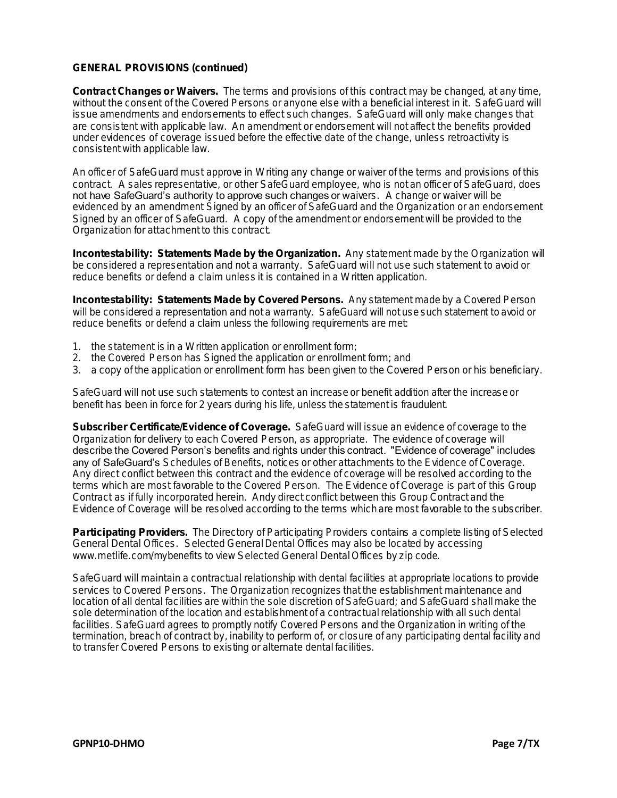## **GENERAL PROVISIONS (continued)**

**Contract Changes or Waivers. The terms and provisions of this contract may be changed, at any time,**  without the consent of the Covered Persons or anyone else with a beneficial interest in it. SafeGuard will **issue amendments and endorsements to effect such changes. SafeGuard will only make changes that are consistent with applicable law. An amendment or endorsement will not affect the benefits provided under evidences of coverage issued before the effective date of the change, unless retroactivity is consistent with applicable law.**

**An officer of SafeGuard must approve in Writing any change or waiver of the terms and provisions of this contract. A sales representative, or other SafeGuard employee, who is not an officer of SafeGuard, does not have SafeGuard's authority to approve such changes or waivers.** A change or waiver will be **evidenced by an amendment Signed by an officer of SafeGuard and the Organization or an endorsement Signed by an officer of SafeGuard. A copy of the amendment or endorsement will be provided to the Organization for attachment to this contract.**

**Incontestability: Statements Made by the Organization. Any statement made by the Organization will be considered a representation and not a warranty. SafeGuard will not use such statement to avoid or reduce benefits or defend a claim unless it is contained in a Written application.**

**Incontestability: Statements Made by Covered Persons. Any statement made by a Covered Person will be considered a representation and not a warranty. SafeGuard will not use such statement to avoid or reduce benefits or defend a claim unless the following requirements are met:**

- **1. the statement is in a Written application or enrollment form;**
- **2. the Covered Person has Signed the application or enrollment form; and**
- **3. a copy of the application or enrollment form has been given to the Covered Person or his beneficiary.**

**SafeGuard will not use such statements to contest an increase or benefit addition after the increase or benefit has been in force for 2 years during his life, unless the statement is fraudulent.**

**Subscriber Certificate/Evidence of Coverage. SafeGuard will issue an evidence of coverage to the Organization for delivery to each Covered Person, as appropriate. The evidence of coverage will describe the Covered Person's benefits and rights under this contract. "Evidence of coverage" includes any of SafeGuard's Schedules of Benefits, notices or other attachments to the Evidence of Coverage. Any direct conflict between this contract and the evidence of coverage will be resolved according to the terms which are most favorable to the Covered Person. The Evidence of Coverage is part of this Group Contract as if fully incorporated herein. Andy direct conflict between this Group Contract and the Evidence of Coverage will be resolved according to the terms which are most favorable to the subscriber.**

**Participating Providers. The Directory of Participating Providers contains a complete listing of Selected General Dental Offices. Selected General Dental Offices may also be located by accessing www.metlife.com/mybenefits to view Selected General Dental Offices by zip code.**

**SafeGuard will maintain a contractual relationship with dental facilities at appropriate locations to provide services to Covered Persons. The Organization recognizes that the establishment maintenance and location of all dental facilities are within the sole discretion of SafeGuard; and SafeGuard shall make the sole determination of the location and establishment of a contractual relationship with all such dental facilities. SafeGuard agrees to promptly notify Covered Persons and the Organization in writing of the termination, breach of contract by, inability to perform of, or closure of any participating dental facility and to transfer Covered Persons to existing or alternate dental facilities.**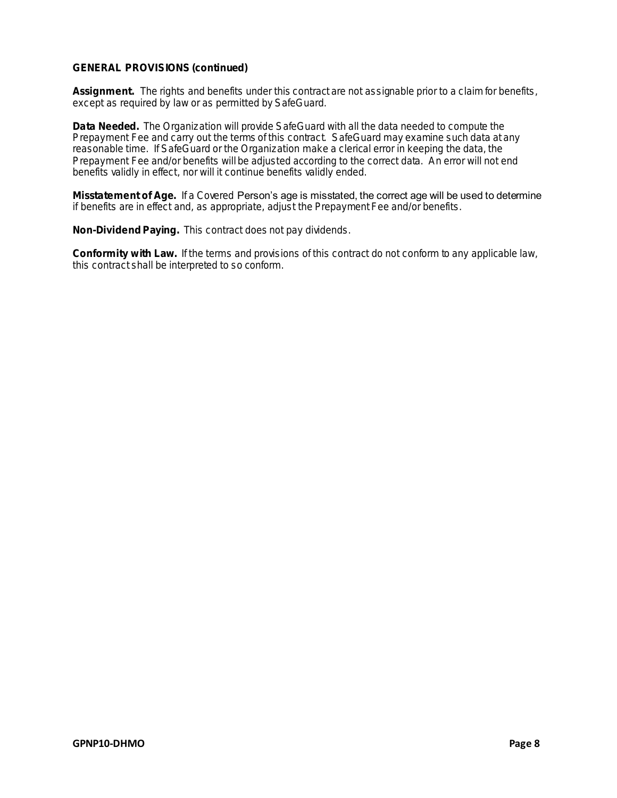## **GENERAL PROVISIONS (continued)**

**Assignment. The rights and benefits under this contract are not assignable prior to a claim for benefits, except as required by law or as permitted by SafeGuard.**

**Data Needed. The Organization will provide SafeGuard with all the data needed to compute the**  Prepayment Fee and carry out the terms of this contract. SafeGuard may examine such data at any **reasonable time. If SafeGuard or the Organization make a clerical error in keeping the data, the Prepayment Fee and/or benefits will be adjusted according to the correct data. An error will not end benefits validly in effect, nor will it continue benefits validly ended.**

**Misstatement of Age. If a Covered Person's age is misstated, the correct age will be used to determine if benefits are in effect and, as appropriate, adjust the Prepayment Fee and/or benefits.**

**Non-Dividend Paying. This contract does not pay dividends.**

**Conformity with Law. If the terms and provisions of this contract do not conform to any applicable law, this contract shall be interpreted to so conform.**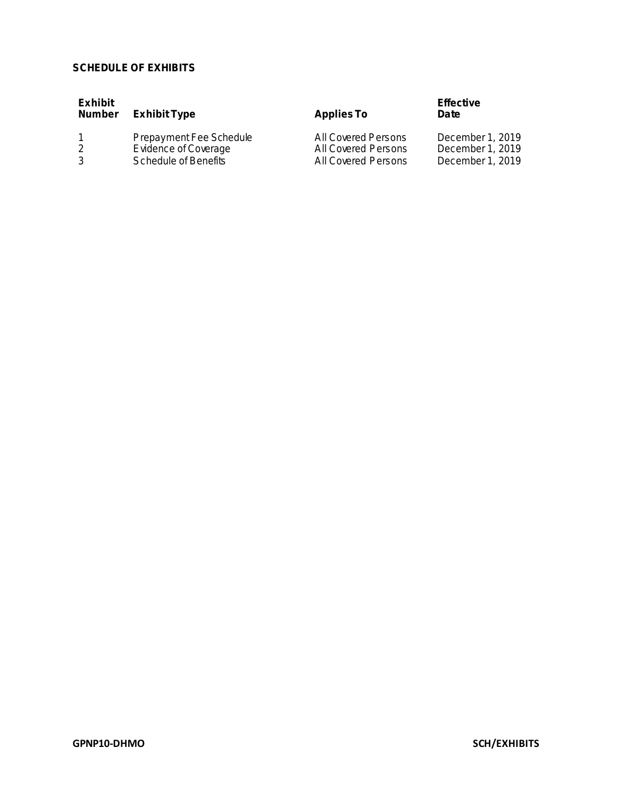# **SCHEDULE OF EXHIBITS**

| Exhibit<br>Number | Exhibit Type                | AppliesTo           | Effective<br>Date |
|-------------------|-----------------------------|---------------------|-------------------|
|                   | Prepayment Fee Schedule     | All Covered Persons | December 1, 2019  |
|                   | <b>Evidence of Coverage</b> | All Covered Persons | December 1, 2019  |
|                   | <b>Schedule of Benefits</b> | All Covered Persons | December 1, 2019  |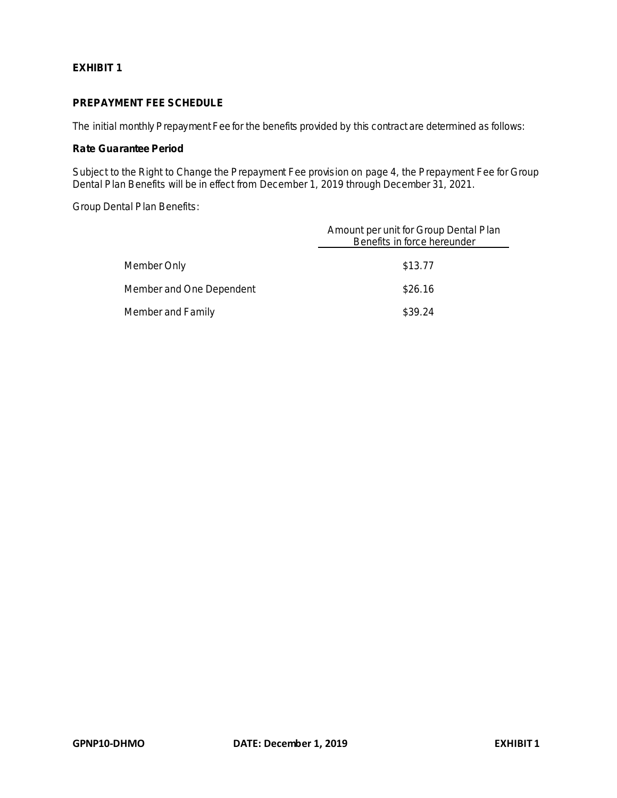**EXHIBIT 1**

# **PREPAYMENT FEE SCHEDULE**

**The initial monthly Prepayment Fee for the benefits provided by this contract are determined as follows:**

**Rate Guarantee Period**

**Subject to the Right to Change the Prepayment Fee provision on page 4, the Prepayment Fee for Group Dental Plan Benefits will be in effect from December 1, 2019 through December 31, 2021.**

**Group Dental Plan Benefits:**

|                          | Amount per unit for Group Dental Plan<br>Benefits in force hereunder |
|--------------------------|----------------------------------------------------------------------|
| Member Only              | \$13.77                                                              |
| Member and One Dependent | \$26.16                                                              |
| Member and Family        | \$39.24                                                              |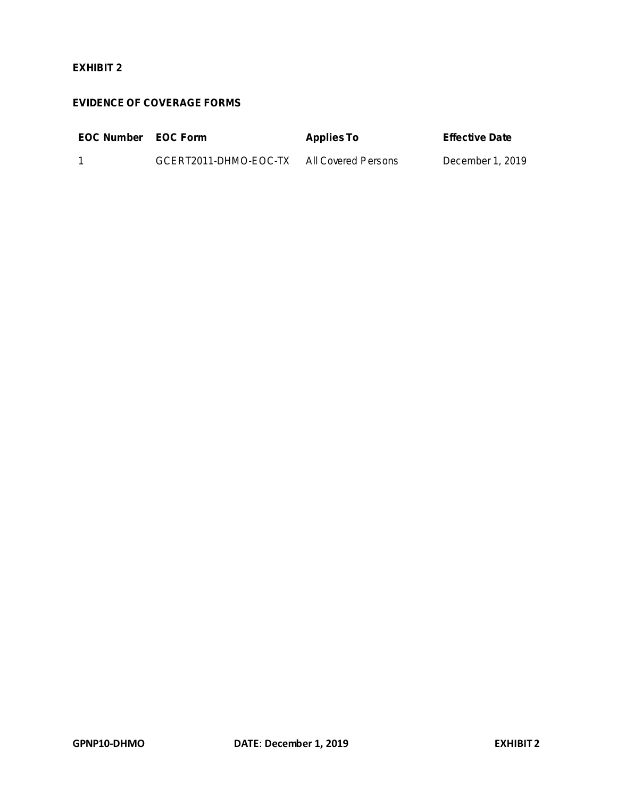# **EXHIBIT 2**

# **EVIDENCE OF COVERAGE FORMS**

| <b>EOC Number FOC Form</b> |                                           | AppliesTo | Effective Date   |
|----------------------------|-------------------------------------------|-----------|------------------|
|                            | GCERT2011-DHMO-EOC-TX All Covered Persons |           | December 1, 2019 |